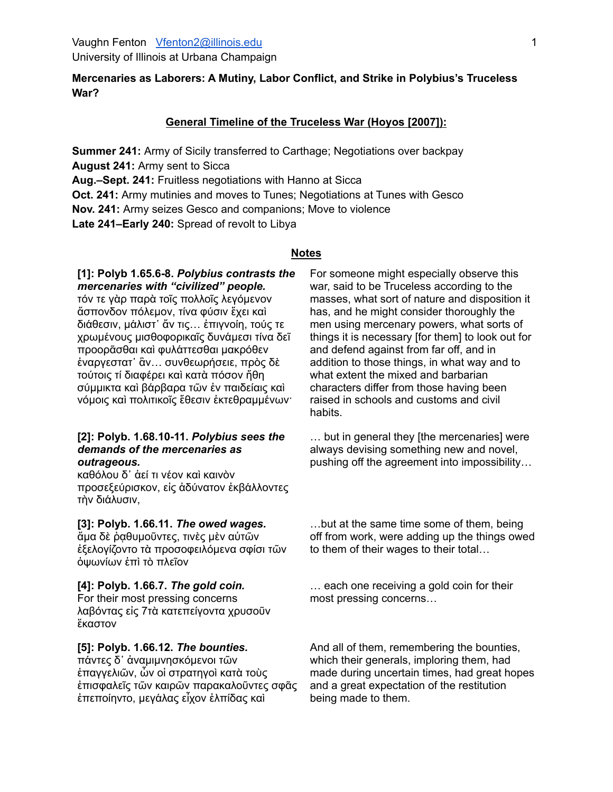# **Mercenaries as Laborers: A Mutiny, Labor Conflict, and Strike in Polybius's Truceless War?**

# **General Timeline of the Truceless War (Hoyos [2007]):**

**Summer 241:** Army of Sicily transferred to Carthage; Negotiations over backpay **August 241:** Army sent to Sicca

**Aug.–Sept. 241:** Fruitless negotiations with Hanno at Sicca

**Oct. 241:** Army mutinies and moves to Tunes; Negotiations at Tunes with Gesco

**Nov. 241:** Army seizes Gesco and companions; Move to violence

**Late 241–Early 240:** Spread of revolt to Libya

#### **Notes**

# **[1]: Polyb 1.65.6-8.** *Polybius contrasts the mercenaries with "civilized" people.*

τόν τε γὰρ παρὰ τοῖς πολλοῖς λεγόμενον ἄσπονδον πόλεμον, τίνα φύσιν ἔχει καὶ διάθεσιν, μάλιστ᾿ ἄν τις… ἐπιγνοίη, τούς τε χρωμένους μισθοφορικαῖς δυνάμεσι τίνα δεῖ προορᾶσθαι καὶ φυλάττεσθαι μακρόθεν ἐναργεστατ᾿ ἂν… συνθεωρήσειε, πρὸς δὲ τούτοις τί διαφέρει καὶ κατὰ πόσον ἤθη σύμμικτα καὶ βάρβαρα τῶν ἐν παιδείαις καὶ νόμοις καὶ πολιτικοῖς ἔθεσιν ἐκτεθραμμένων·

#### **[2]: Polyb. 1.68.10-11.** *Polybius sees the demands of the mercenaries as outrageous.*

καθόλου δ᾿ ἀεί τι νέον καὶ καινὸν προσεξεύρισκον, εἰς ἀδύνατον ἐκβάλλοντες τὴν διάλυσιν,

#### **[3]: Polyb. 1.66.11.** *The owed wages.*

ἅμα δὲ ῥᾳθυμοῦντες, τινὲς μὲν αὐτῶν ἐξελογίζοντο τὰ προσοφειλόμενα σφίσι τῶν ὀψωνίων ἐπὶ τὸ πλεῖον

#### **[4]: Polyb. 1.66.7.** *The gold coin.*

For their most pressing concerns λαβόντας εἰς 7τὰ κατεπείγοντα χρυσοῦν ἕκαστον

#### **[5]: Polyb. 1.66.12.** *The bounties.*

πάντες δ᾿ ἀναμιμνησκόμενοι τῶν ἐπαγγελιῶν, ὧν οἱ στρατηγοὶ κατὰ τοὺς ἐπισφαλεῖς τῶν καιρῶν παρακαλοῦντες σφᾶς ἐπεποίηντο, μεγάλας εἶχον ἐλπίδας καὶ

For someone might especially observe this war, said to be Truceless according to the masses, what sort of nature and disposition it has, and he might consider thoroughly the men using mercenary powers, what sorts of things it is necessary [for them] to look out for and defend against from far off, and in addition to those things, in what way and to what extent the mixed and barbarian characters differ from those having been raised in schools and customs and civil habits.

… but in general they [the mercenaries] were always devising something new and novel, pushing off the agreement into impossibility…

…but at the same time some of them, being off from work, were adding up the things owed to them of their wages to their total…

… each one receiving a gold coin for their most pressing concerns…

And all of them, remembering the bounties, which their generals, imploring them, had made during uncertain times, had great hopes and a great expectation of the restitution being made to them.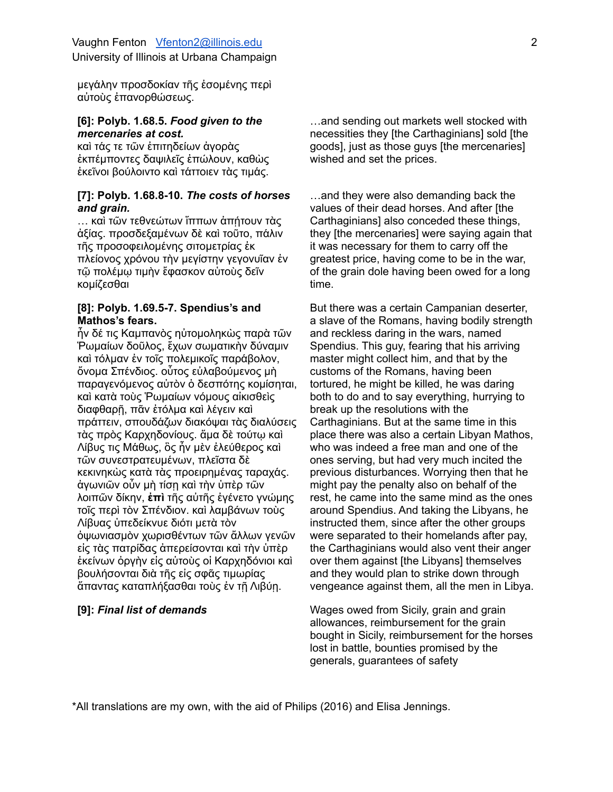μεγάλην προσδοκίαν τῆς ἐσομένης περὶ αὐτοὺς ἐπανορθώσεως.

## **[6]: Polyb. 1.68.5.** *Food given to the mercenaries at cost.*

καὶ τάς τε τῶν ἐπιτηδείων ἀγορὰς ἐκπέμποντες δαψιλεῖς ἐπώλουν, καθὼς ἐκεῖνοι βούλοιντο καὶ τάττοιεν τὰς τιμάς.

## **[7]: Polyb. 1.68.8-10.** *The costs of horses and grain.*

… καὶ τῶν τεθνεώτων ἵππων ἀπήτουν τὰς ἀξίας. προσδεξαμένων δὲ καὶ τοῦτο, πάλιν τῆς προσοφειλομένης σιτομετρίας ἐκ πλείονος χρόνου τὴν μεγίστην γεγονυῖαν ἐν τῷ πολέμῳ τιμὴν ἔφασκον αὑτοὺς δεῖν κομίζεσθαι

# **[8]: Polyb. 1.69.5-7. Spendius's and Mathos's fears.**

ἦν δέ τις Καμπανὸς ηὐτομοληκὼς παρὰ τῶν Ῥωμαίων δοῦλος, ἔχων σωματικὴν δύναμιν καὶ τόλμαν ἐν τοῖς πολεμικοῖς παράβολον, ὄνομα Σπένδιος. οὗτος εὐλαβούμενος μὴ παραγενόμενος αὐτὸν ὁ δεσπότης κομίσηται, καὶ κατὰ τοὺς Ῥωμαίων νόμους αἰκισθεὶς διαφθαρῇ, πᾶν ἐτόλμα καὶ λέγειν καὶ πράττειν, σπουδάζων διακόψαι τὰς διαλύσεις τὰς πρὸς Καρχηδονίους. ἅμα δὲ τούτῳ καὶ Λίβυς τις Μάθως, ὃς ἦν μὲν ἐλεύθερος καὶ τῶν συνεστρατευμένων, πλεῖστα δὲ κεκινηκὼς κατὰ τὰς προειρημένας ταραχάς. ἀγωνιῶν οὖν μὴ τίσῃ καὶ τὴν ὑπὲρ τῶν λοιπῶν δίκην, **ἐπὶ** τῆς αὐτῆς ἐγένετο γνώμης τοῖς περὶ τὸν Σπένδιον. καὶ λαμβάνων τοὺς Λίβυας ὑπεδείκνυε διότι μετὰ τὸν ὀψωνιασμὸν χωρισθέντων τῶν ἄλλων γενῶν εἰς τὰς πατρίδας ἀπερείσονται καὶ τὴν ὑπὲρ ἐκείνων ὀργὴν εἰς αὐτοὺς οἱ Καρχηδόνιοι καὶ βουλήσονται διὰ τῆς εἰς σφᾶς τιμωρίας ἅπαντας καταπλήξασθαι τοὺς ἐν τῆ Λιβύη.

…and sending out markets well stocked with necessities they [the Carthaginians] sold [the goods], just as those guys [the mercenaries] wished and set the prices.

…and they were also demanding back the values of their dead horses. And after [the Carthaginians] also conceded these things, they [the mercenaries] were saying again that it was necessary for them to carry off the greatest price, having come to be in the war, of the grain dole having been owed for a long time.

But there was a certain Campanian deserter, a slave of the Romans, having bodily strength and reckless daring in the wars, named Spendius. This guy, fearing that his arriving master might collect him, and that by the customs of the Romans, having been tortured, he might be killed, he was daring both to do and to say everything, hurrying to break up the resolutions with the Carthaginians. But at the same time in this place there was also a certain Libyan Mathos, who was indeed a free man and one of the ones serving, but had very much incited the previous disturbances. Worrying then that he might pay the penalty also on behalf of the rest, he came into the same mind as the ones around Spendius. And taking the Libyans, he instructed them, since after the other groups were separated to their homelands after pay, the Carthaginians would also vent their anger over them against [the Libyans] themselves and they would plan to strike down through vengeance against them, all the men in Libya.

**[9]:** *Final list of demands* Wages owed from Sicily, grain and grain allowances, reimbursement for the grain bought in Sicily, reimbursement for the horses lost in battle, bounties promised by the generals, guarantees of safety

\*All translations are my own, with the aid of Philips (2016) and Elisa Jennings.